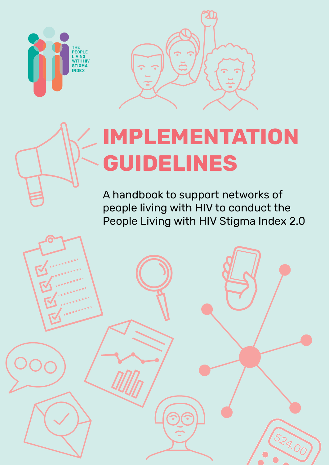



# **IMPLEMENTATION GUIDELINES**

A handbook to support networks of people living with HIV to conduct the People Living with HIV Stigma Index 2.0

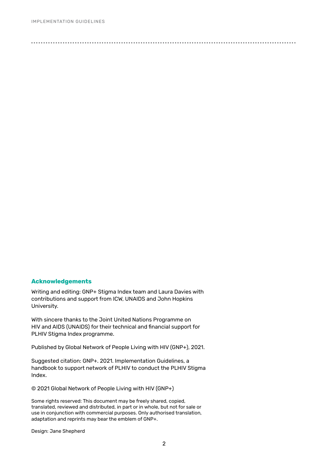## **Acknowledgements**

Writing and editing: GNP+ Stigma Index team and Laura Davies with contributions and support from ICW, UNAIDS and John Hopkins University.

With sincere thanks to the Joint United Nations Programme on HIV and AIDS (UNAIDS) for their technical and financial support for PLHIV Stigma Index programme.

Published by Global Network of People Living with HIV (GNP+), 2021.

Suggested citation: GNP+. 2021. Implementation Guidelines, a handbook to support network of PLHIV to conduct the PLHIV Stigma Index.

© 2021 Global Network of People Living with HIV (GNP+)

Some rights reserved: This document may be freely shared, copied, translated, reviewed and distributed, in part or in whole, but not for sale or use in conjunction with commercial purposes. Only authorised translation, adaptation and reprints may bear the emblem of GNP+.

Design: Jane Shepherd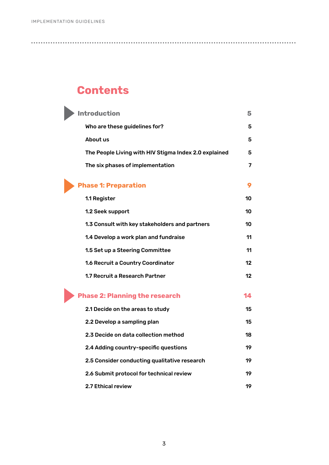# **Contents**

| Introduction                                          | 5  |
|-------------------------------------------------------|----|
| Who are these guidelines for?                         | 5  |
| About us                                              | 5  |
| The People Living with HIV Stigma Index 2.0 explained | 5  |
| The six phases of implementation                      | 7  |
| <b>Phase 1: Preparation</b>                           | 9  |
| 1.1 Register                                          | 10 |
| 1.2 Seek support                                      | 10 |
| 1.3 Consult with key stakeholders and partners        | 10 |
| 1.4 Develop a work plan and fundraise                 | 11 |
| 1.5 Set up a Steering Committee                       | 11 |
| 1.6 Recruit a Country Coordinator                     | 12 |
| 1.7 Recruit a Research Partner                        | 12 |
| <b>Phase 2: Planning the research</b>                 | 14 |
| 2.1 Decide on the areas to study                      | 15 |
| 2.2 Develop a sampling plan                           | 15 |
| 2.3 Decide on data collection method                  | 18 |

- [2.4 Adding country-specific questions 1](#page-18-0)9 [2.5 Consider conducting qualitative research 1](#page-18-0)9 [2.6 Submit protocol for technical review 1](#page-18-0)9
- [2.7 Ethical review](#page-18-0) 19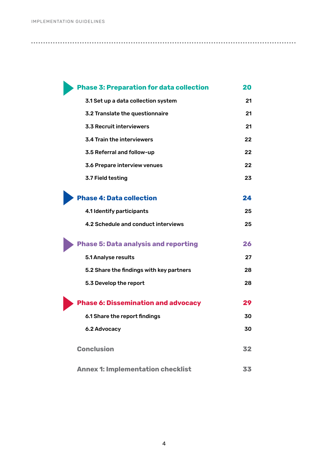| <b>Phase 3: Preparation for data collection</b> | 20 |
|-------------------------------------------------|----|
| 3.1 Set up a data collection system             | 21 |
| 3.2 Translate the questionnaire                 | 21 |
| 3.3 Recruit interviewers                        | 21 |
| 3.4 Train the interviewers                      | 22 |
| 3.5 Referral and follow-up                      | 22 |
| 3.6 Prepare interview venues                    | 22 |
| 3.7 Field testing                               | 23 |
| <b>Phase 4: Data collection</b>                 | 24 |
| 4.1 Identify participants                       | 25 |
| 4.2 Schedule and conduct interviews             | 25 |
| <b>Phase 5: Data analysis and reporting</b>     | 26 |
| 5.1 Analyse results                             | 27 |
| 5.2 Share the findings with key partners        | 28 |
| 5.3 Develop the report                          | 28 |
| <b>Phase 6: Dissemination and advocacy</b>      | 29 |
| 6.1 Share the report findings                   | 30 |
| 6.2 Advocacy                                    | 30 |
| <b>Conclusion</b>                               | 32 |
| <b>Annex 1: Implementation checklist</b>        | 33 |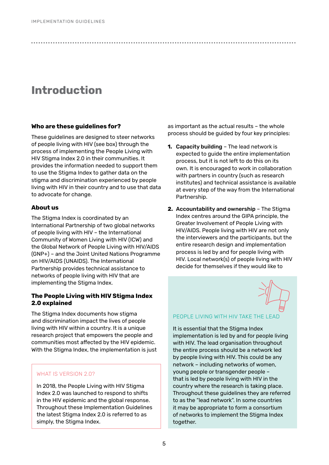# **Introduction**

## **Who are these guidelines for?**

These guidelines are designed to steer networks of people living with HIV (see box) through the process of implementing the People Living with HIV Stigma Index 2.0 in their communities. It provides the information needed to support them to use the Stigma Index to gather data on the stigma and discrimination experienced by people living with HIV in their country and to use that data to advocate for change.

# **About us**

The Stigma Index is coordinated by an International Partnership of two global networks of people living with HIV – the International Community of Women Living with HIV (ICW) and the Global Network of People Living with HIV/AIDS (GNP+) – and the Joint United Nations Programme on HIV/AIDS (UNAIDS). The International Partnership provides technical assistance to networks of people living with HIV that are implementing the Stigma Index.

# **The People Living with HIV Stigma Index 2.0 explained**

The Stigma Index documents how stigma and discrimination impact the lives of people living with HIV within a country. It is a unique research project that empowers the people and communities most affected by the HIV epidemic. With the Stigma Index, the implementation is just

# WHAT IS VERSION 2.0?

In 2018, the People Living with HIV Stigma Index 2.0 was launched to respond to shifts in the HIV epidemic and the global response. Throughout these Implementation Guidelines the latest Stigma Index 2.0 is referred to as simply, the Stigma Index.

as important as the actual results – the whole process should be guided by four key principles:

- **1.** Capacity building The lead network is expected to guide the entire implementation process, but it is not left to do this on its own. It is encouraged to work in collaboration with partners in country (such as research institutes) and technical assistance is available at every step of the way from the International Partnership.
- **2.** Accountability and ownership The Stigma Index centres around the GIPA principle, the Greater Involvement of People Living with HIV/AIDS. People living with HIV are not only the interviewers and the participants, but the entire research design and implementation process is led by and for people living with HIV. Local network(s) of people living with HIV decide for themselves if they would like to



# PEOPLE LIVING WITH HIV TAKE THE LEAD

It is essential that the Stigma Index implementation is led by and for people living with HIV. The lead organisation throughout the entire process should be a network led by people living with HIV. This could be any network – including networks of women, young people or transgender people – that is led by people living with HIV in the country where the research is taking place. Throughout these guidelines they are referred to as the "lead network". In some countries it may be appropriate to form a consortium of networks to implement the Stigma Index together.

<span id="page-4-0"></span>● ● ● ● ● ● ● ● ● ● ● ● ● ● ● ● ● ● ● ● ● ● ● ● ● ● ● ● ● ● ● ● ● ● ● ● ● ● ● ● ● ● ● ● ● ● ● ● ● ● ● ● ● ● ● ● ● ● ● ● ● ● ● ● ● ● ● ● ● ● ● ● ● ● ● ● ● ● ● ● ● ● ● ● ● ● ● ● ● ● ● ● ● ● ● ● ● ● ● ● ● ● ● ● ● ● ● ● ●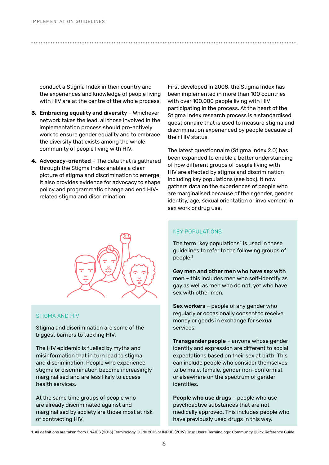conduct a Stigma Index in their country and the experiences and knowledge of people living with HIV are at the centre of the whole process.

- **3.** Embracing equality and diversity Whichever network takes the lead, all those involved in the implementation process should pro-actively work to ensure gender equality and to embrace the diversity that exists among the whole community of people living with HIV.
- **4.** Advocacy-oriented The data that is gathered through the Stigma Index enables a clear picture of stigma and discrimination to emerge. It also provides evidence for advocacy to shape policy and programmatic change and end HIVrelated stigma and discrimination.



#### STIGMA AND HIV

Stigma and discrimination are some of the biggest barriers to tackling HIV.

The HIV epidemic is fuelled by myths and misinformation that in turn lead to stigma and discrimination. People who experience stigma or discrimination become increasingly marginalised and are less likely to access health services.

At the same time groups of people who are already discriminated against and marginalised by society are those most at risk of contracting HIV.

First developed in 2008, the Stigma Index has been implemented in more than 100 countries with over 100,000 people living with HIV participating in the process. At the heart of the Stigma Index research process is a standardised questionnaire that is used to measure stigma and discrimination experienced by people because of their HIV status.

The latest questionnaire (Stigma Index 2.0) has been expanded to enable a better understanding of how different groups of people living with HIV are affected by stigma and discrimination including key populations (see box). It now gathers data on the experiences of people who are marginalised because of their gender, gender identity, age, sexual orientation or involvement in sex work or drug use.

#### KEY POPULATIONS

● ● ● ● ● ● ● ● ● ● ● ● ● ● ● ● ● ● ● ● ● ● ● ● ● ● ● ● ● ● ● ● ● ● ● ● ● ● ● ● ● ● ● ● ● ● ● ● ● ● ● ● ● ● ● ● ● ● ● ● ● ● ● ● ● ● ● ● ● ● ● ● ● ● ● ● ● ● ● ● ● ● ● ● ● ● ● ● ● ● ● ● ● ● ● ● ● ● ● ● ● ● ● ● ● ● ● ● ●

The term "key populations" is used in these guidelines to refer to the following groups of people:1

Gay men and other men who have sex with men – this includes men who self-identify as gay as well as men who do not, yet who have sex with other men.

Sex workers – people of any gender who regularly or occasionally consent to receive money or goods in exchange for sexual services.

Transgender people – anyone whose gender identity and expression are different to social expectations based on their sex at birth. This can include people who consider themselves to be male, female, gender non-conformist or elsewhere on the spectrum of gender identities.

People who use drugs - people who use psychoactive substances that are not medically approved. This includes people who have previously used drugs in this way.

<sup>1.</sup> All definitions are taken from UNAIDS (2015) Terminology Guide 2015 or INPUD (2019) Drug Users' Terminology: Community Quick Reference Guide.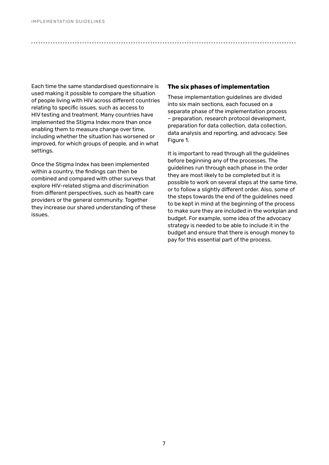Each time the same standardised questionnaire is used making it possible to compare the situation of people living with HIV across different countries relating to specific issues, such as access to HIV testing and treatment. Many countries have implemented the Stigma Index more than once enabling them to measure change over time, including whether the situation has worsened or improved, for which groups of people, and in what settings.

Once the Stigma Index has been implemented within a country, the findings can then be combined and compared with other surveys that explore HIV-related stigma and discrimination from different perspectives, such as health care providers or the general community. Together they increase our shared understanding of these issues.

#### **The six phases of implementation**

<span id="page-6-0"></span>● ● ● ● ● ● ● ● ● ● ● ● ● ● ● ● ● ● ● ● ● ● ● ● ● ● ● ● ● ● ● ● ● ● ● ● ● ● ● ● ● ● ● ● ● ● ● ● ● ● ● ● ● ● ● ● ● ● ● ● ● ● ● ● ● ● ● ● ● ● ● ● ● ● ● ● ● ● ● ● ● ● ● ● ● ● ● ● ● ● ● ● ● ● ● ● ● ● ● ● ● ● ● ● ● ● ● ● ●

These implementation guidelines are divided into six main sections, each focused on a separate phase of the implementation process – preparation, research protocol development, preparation for data collection, data collection, data analysis and reporting, and advocacy. See Figure 1.

It is important to read through all the guidelines before beginning any of the processes. The guidelines run through each phase in the order they are most likely to be completed but it is possible to work on several steps at the same time, or to follow a slightly different order. Also, some of the steps towards the end of the guidelines need to be kept in mind at the beginning of the process to make sure they are included in the workplan and budget. For example, some idea of the advocacy strategy is needed to be able to include it in the budget and ensure that there is enough money to pay for this essential part of the process.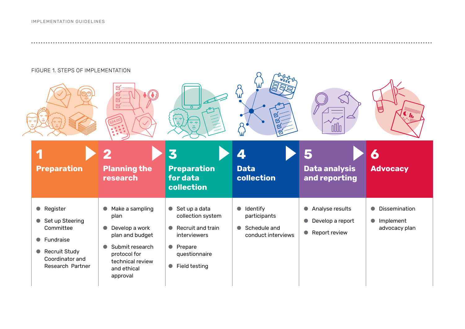● ● ● ● ● ● ● ● ● ● ● ● ● ● ● ● ● ● ● ● ● ● ● ● ● ● ● ● ● ● ● ● ● ● ● ● ● ● ● ● ● ● ● ● ● ● ● ● ● ● ● ● ● ● ● ● ● ● ● ● ● ● ● ● ● ● ● ● ● ● ● ● ● ● ● ● ● ● ● ● ● ● ● ● ● ● ● ● ● ● ● ● ● ● ● ● ● ● ● ● ● ● ● ● ● ● ● ● ● ● ● ● ● ● ● ● ● ● ● ● ● ● ● ● ● ● ● ● ● ● ● ● ● ● ● ● ● ● ● ● ● ● ● ● ● ● ● ● ● ● ● ● ● ● ● ● ● ● ● ● ● ● ● ● ●

# FIGURE 1. STEPS OF IMPLEMENTATION

|                                                  | FIGURE 1. STEPS OF IMPLEMENTATION                                                                                    | ☑<br>$K^{mm}$<br>$\nabla$                                                                                                                                                             | $\overline{\circ}$<br>$\tau$ $\tau$                                                                                                                                      | W                                                                                        |                                                                                  | U                                                          |
|--------------------------------------------------|----------------------------------------------------------------------------------------------------------------------|---------------------------------------------------------------------------------------------------------------------------------------------------------------------------------------|--------------------------------------------------------------------------------------------------------------------------------------------------------------------------|------------------------------------------------------------------------------------------|----------------------------------------------------------------------------------|------------------------------------------------------------|
|                                                  | <b>Preparation</b>                                                                                                   | <b>Planning the</b><br>research                                                                                                                                                       | 3<br><b>Preparation</b><br>for data<br>collection                                                                                                                        | 4<br><b>Data</b><br>collection                                                           | 5<br>Data analysis<br>and reporting                                              | O<br><b>Advocacy</b>                                       |
| $\bullet$<br>$\bullet$<br>$\bullet$<br>$\bullet$ | Register<br>Set up Steering<br>Committee<br>Fundraise<br><b>Recruit Study</b><br>Coordinator and<br>Research Partner | Make a sampling<br>$\bullet$<br>plan<br>Develop a work<br>$\bullet$<br>plan and budget<br>Submit research<br>$\bullet$<br>protocol for<br>technical review<br>and ethical<br>approval | Set up a data<br>$\bullet$<br>collection system<br>Recruit and train<br>$\bullet$<br>interviewers<br>Prepare<br>$\bullet$<br>questionnaire<br>Field testing<br>$\bullet$ | Identify<br>$\bullet$<br>participants<br>Schedule and<br>$\bullet$<br>conduct interviews | • Analyse results<br>Develop a report<br>$\bullet$<br>Report review<br>$\bullet$ | Dissemination<br>$\bullet$<br>• Implement<br>advocacy plan |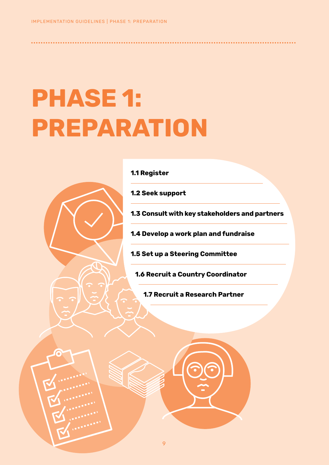# **PHASE 1: PREPARATION**



**1.1 Register**

**1.2 Seek support**

<span id="page-8-0"></span>● ● ● ● ● ● ● ● ● ● ● ● ● ● ● ● ● ● ● ● ● ● ● ● ● ● ● ● ● ● ● ● ● ● ● ● ● ● ● ● ● ● ● ● ● ● ● ● ● ● ● ● ● ● ● ● ● ● ● ● ● ● ● ● ● ● ● ● ● ● ● ● ● ● ● ● ● ● ● ● ● ● ● ● ● ● ● ● ● ● ● ● ● ● ● ● ● ● ● ● ● ● ● ● ● ● ● ● ●

**1.3 Consult with key stakeholders and partners**

**1.4 Develop a work plan and fundraise**

**1.5 Set up a Steering Committee**

**1.6 Recruit a Country Coordinator**

**1.7 Recruit a Research Partner**

9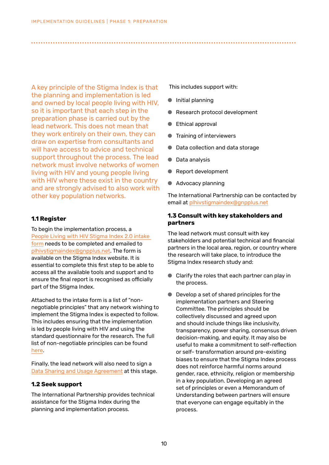A key principle of the Stigma Index is that the planning and implementation is led and owned by local people living with HIV, so it is important that each step in the preparation phase is carried out by the lead network. This does not mean that they work entirely on their own, they can draw on expertise from consultants and will have access to advice and technical support throughout the process. The lead network must involve networks of women living with HIV and young people living with HIV where these exist in the country and are strongly advised to also work with other key population networks.

# **1.1 Register**

To begin the implementation process, a [People Living with HIV Stigma Index 2.0 intake](https://www.dropbox.com/s/qqp6mylhdbuk0hc/Intake%20Form_EN.docx?dl=0)  [form](https://www.dropbox.com/s/u7iqwg2e7z5113n/Intake%20Form_EN.docx?dl=0) needs to be completed and emailed to plhivstigmaindex@gnpplus.net. The form is available on the Stigma Index website. It is essential to complete this first step to be able to access all the available tools and support and to ensure the final report is recognised as officially part of the Stigma Index.

Attached to the intake form is a list of "nonnegotiable principles" that any network wishing to implement the Stigma Index is expected to follow. This includes ensuring that the implementation is led by people living with HIV and using the standard questionnaire for the research. The full list of non-negotiable principles can be found [here.](https://www.dropbox.com/s/8ljhudp49cxcw92/Non-negotiables%20for%20implementation_EN.pdf?dl=0)

Finally, the lead network will also need to sign a [Data Sharing and Usage Agreement](https://www.dropbox.com/s/8d7obsp2kkj833q/Data%20Sharing%20and%20Usage%20Agreement_EN.docx?dl=0) at this stage.

# **1.2 Seek support**

The International Partnership provides technical assistance for the Stigma Index during the planning and implementation process.

This includes support with:

● Initial planning

<span id="page-9-0"></span>● ● ● ● ● ● ● ● ● ● ● ● ● ● ● ● ● ● ● ● ● ● ● ● ● ● ● ● ● ● ● ● ● ● ● ● ● ● ● ● ● ● ● ● ● ● ● ● ● ● ● ● ● ● ● ● ● ● ● ● ● ● ● ● ● ● ● ● ● ● ● ● ● ● ● ● ● ● ● ● ● ● ● ● ● ● ● ● ● ● ● ● ● ● ● ● ● ● ● ● ● ● ● ● ● ● ● ● ●

- Research protocol development
- Ethical approval
- Training of interviewers
- Data collection and data storage
- Data analysis
- Report development
- Advocacy planning

The International Partnership can be contacted by email at plhivstigmaindex@gnpplus.net

# **1.3 Consult with key stakeholders and partners**

The lead network must consult with key stakeholders and potential technical and financial partners in the local area, region, or country where the research will take place, to introduce the Stigma Index research study and:

- Clarify the roles that each partner can play in the process.
- Develop a set of shared principles for the implementation partners and Steering Committee. The principles should be collectively discussed and agreed upon and should include things like inclusivity, transparency, power sharing, consensus driven decision-making, and equity. It may also be useful to make a commitment to self-reflection or self- transformation around pre-existing biases to ensure that the Stigma Index process does not reinforce harmful norms around gender, race, ethnicity, religion or membership in a key population. Developing an agreed set of principles or even a Memorandum of Understanding between partners will ensure that everyone can engage equitably in the process.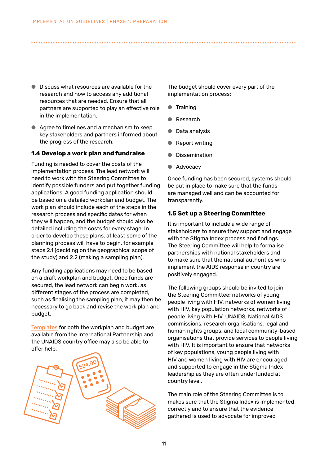- Discuss what resources are available for the research and how to access any additional resources that are needed. Ensure that all partners are supported to play an effective role in the implementation.
- Agree to timelines and a mechanism to keep key stakeholders and partners informed about the progress of the research.

# **1.4 Develop a work plan and fundraise**

Funding is needed to cover the costs of the implementation process. The lead network will need to work with the Steering Committee to identify possible funders and put together funding applications. A good funding application should be based on a detailed workplan and budget. The work plan should include each of the steps in the research process and specific dates for when they will happen, and the budget should also be detailed including the costs for every stage. In order to develop these plans, at least some of the planning process will have to begin, for example steps 2.1 (deciding on the geographical scope of the study) and 2.2 (making a sampling plan).

Any funding applications may need to be based on a draft workplan and budget. Once funds are secured, the lead network can begin work, as different stages of the process are completed, such as finalising the sampling plan, it may then be necessary to go back and revise the work plan and budget.

[Templates](https://www.dropbox.com/s/tqo3alttdtodo6f/Workplan%20and%20Budget%20Guide_EN.xlsx?dl=0) for both the workplan and budget are available from the International Partnership and the UNAIDS country office may also be able to offer help.



The budget should cover every part of the implementation process:

● Training

<span id="page-10-0"></span>● ● ● ● ● ● ● ● ● ● ● ● ● ● ● ● ● ● ● ● ● ● ● ● ● ● ● ● ● ● ● ● ● ● ● ● ● ● ● ● ● ● ● ● ● ● ● ● ● ● ● ● ● ● ● ● ● ● ● ● ● ● ● ● ● ● ● ● ● ● ● ● ● ● ● ● ● ● ● ● ● ● ● ● ● ● ● ● ● ● ● ● ● ● ● ● ● ● ● ● ● ● ● ● ● ● ● ● ●

- **Research**
- Data analysis
- **Report writing**
- **Dissemination**
- Advocacy

Once funding has been secured, systems should be put in place to make sure that the funds are managed well and can be accounted for transparently.

## **1.5 Set up a Steering Committee**

It is important to include a wide range of stakeholders to ensure they support and engage with the Stigma Index process and findings. The Steering Committee will help to formalise partnerships with national stakeholders and to make sure that the national authorities who implement the AIDS response in country are positively engaged.

The following groups should be invited to join the Steering Committee: networks of young people living with HIV, networks of women living with HIV, key population networks, networks of people living with HIV, UNAIDS, National AIDS commissions, research organisations, legal and human rights groups, and local community-based organisations that provide services to people living with HIV. It is important to ensure that networks of key populations, young people living with HIV and women living with HIV are encouraged and supported to engage in the Stigma Index leadership as they are often underfunded at country level.

The main role of the Steering Committee is to makes sure that the Stigma Index is implemented correctly and to ensure that the evidence gathered is used to advocate for improved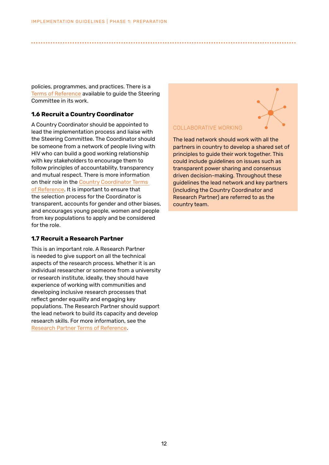policies, programmes, and practices. There is a [Terms of Reference](https://www.dropbox.com/s/hnlqu59xovynv86/Template%20ToR%20Steering%20Committee_EN.docx?dl=0) available to guide the Steering Committee in its work.

## **1.6 Recruit a Country Coordinator**

A Country Coordinator should be appointed to lead the implementation process and liaise with the Steering Committee. The Coordinator should be someone from a network of people living with HIV who can build a good working relationship with key stakeholders to encourage them to follow principles of accountability, transparency and mutual respect. There is more information on their role in the [Country Coordinator Terms](https://www.dropbox.com/s/wm0hbu3rercai18/Template%20ToR%20Country%20Coordinator_EN.docx?dl=0)  [of Reference](https://www.dropbox.com/s/wm0hbu3rercai18/Template%20ToR%20Country%20Coordinator_EN.docx?dl=0). It is important to ensure that the selection process for the Coordinator is transparent, accounts for gender and other biases, and encourages young people, women and people from key populations to apply and be considered for the role.

# **1.7 Recruit a Research Partner**

This is an important role. A Research Partner is needed to give support on all the technical aspects of the research process. Whether it is an individual researcher or someone from a university or research institute, ideally, they should have experience of working with communities and developing inclusive research processes that reflect gender equality and engaging key populations. The Research Partner should support the lead network to build its capacity and develop research skills. For more information, see the [Research Partner Terms of Reference](https://www.dropbox.com/s/l6tjjr3dfpu5a9b/Template%20ToR%20Research%20Partner_EN.docx?dl=0).

## COLLABORATIVE WORKING

<span id="page-11-0"></span>● ● ● ● ● ● ● ● ● ● ● ● ● ● ● ● ● ● ● ● ● ● ● ● ● ● ● ● ● ● ● ● ● ● ● ● ● ● ● ● ● ● ● ● ● ● ● ● ● ● ● ● ● ● ● ● ● ● ● ● ● ● ● ● ● ● ● ● ● ● ● ● ● ● ● ● ● ● ● ● ● ● ● ● ● ● ● ● ● ● ● ● ● ● ● ● ● ● ● ● ● ● ● ● ● ● ● ● ●

The lead network should work with all the partners in country to develop a shared set of principles to guide their work together. This could include guidelines on issues such as transparent power sharing and consensus driven decision-making. Throughout these guidelines the lead network and key partners (including the Country Coordinator and Research Partner) are referred to as the country team.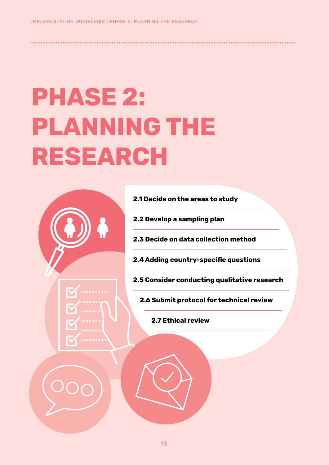# **PHASE 2: PLANNING THE RESEARCH**





**2.1 Decide on the areas to study**

**2.2 Develop a sampling plan**

● ● ● ● ● ● ● ● ● ● ● ● ● ● ● ● ● ● ● ● ● ● ● ● ● ● ● ● ● ● ● ● ● ● ● ● ● ● ● ● ● ● ● ● ● ● ● ● ● ● ● ● ● ● ● ● ● ● ● ● ● ● ● ● ● ● ● ● ● ● ● ● ● ● ● ● ● ● ● ● ● ● ● ● ● ● ● ● ● ● ● ● ● ● ● ● ● ● ● ● ● ● ● ● ● ● ● ● ●

**2.3 Decide on data collection method**

**2.4 Adding country-specific questions** 

**2.5 Consider conducting qualitative research**

**2.6 Submit protocol for technical review**

**2.7 Ethical review**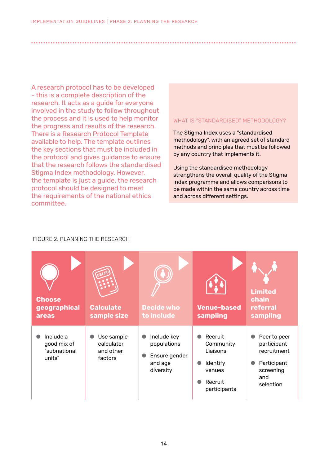<span id="page-13-0"></span>A research protocol has to be developed - this is a complete description of the research. It acts as a guide for everyone involved in the study to follow throughout the process and it is used to help monitor the progress and results of the research. There is a [Research Protocol Template](https://www.dropbox.com/s/wtyybth9l1zpktr/Research%20Protocol%20Template_EN.docx?dl=0) available to help. The template outlines the key sections that must be included in the protocol and gives guidance to ensure that the research follows the standardised Stigma Index methodology. However, the template is just a guide, the research protocol should be designed to meet the requirements of the national ethics committee.

## WHAT IS "STANDARDISED" METHODOLOGY?

The Stigma Index uses a "standardised methodology", with an agreed set of standard methods and principles that must be followed by any country that implements it.

Using the standardised methodology strengthens the overall quality of the Stigma Index programme and allows comparisons to be made within the same country across time and across different settings.

#### FIGURE 2. PLANNING THE RESEARCH

| <b>Choose</b><br>geographical<br>areas             | <b>Calculate</b><br>sample size                  | <b>Decide who</b><br>to include                                     | <b>Venue-based</b><br>sampling                                                           | <b>Limited</b><br>chain<br>referral<br>sampling                                            |
|----------------------------------------------------|--------------------------------------------------|---------------------------------------------------------------------|------------------------------------------------------------------------------------------|--------------------------------------------------------------------------------------------|
| Include a<br>good mix of<br>"subnational<br>units" | Use sample<br>calculator<br>and other<br>factors | Include key<br>populations<br>Ensure gender<br>and age<br>diversity | Recruit<br>Community<br>Liaisons<br><b>Identify</b><br>venues<br>Recruit<br>participants | Peer to peer<br>participant<br>recruitment<br>Participant<br>screening<br>and<br>selection |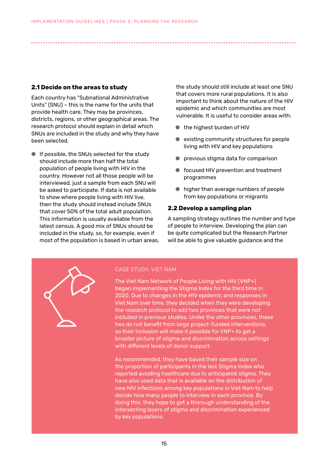# <span id="page-14-0"></span>**2.1 Decide on the areas to study**

Each country has "Subnational Administrative Units" (SNU) – this is the name for the units that provide health care. They may be provinces, districts, regions, or other geographical areas. The research protocol should explain in detail which SNUs are included in the study and why they have been selected.

● If possible, the SNUs selected for the study should include more than half the total population of people living with HIV in the country. However not all those people will be interviewed, just a sample from each SNU will be asked to participate. If data is not available to show where people living with HIV live, then the study should instead include SNUs that cover 50% of the total adult population. This information is usually available from the latest census. A good mix of SNUs should be included in the study, so, for example, even if most of the population is based in urban areas, the study should still include at least one SNU that covers more rural populations. It is also important to think about the nature of the HIV epidemic and which communities are most vulnerable. It is useful to consider areas with:

- the highest burden of HIV
- existing community structures for people living with HIV and key populations
- previous stigma data for comparison
- focused HIV prevention and treatment programmes
- higher than average numbers of people from key populations or migrants

#### **2.2 Develop a sampling plan**

A sampling strategy outlines the number and type of people to interview. Developing the plan can be quite complicated but the Research Partner will be able to give valuable guidance and the



# CASE STUDY: VIET NAM

The Viet Nam Network of People Living with HIV (VNP+) began implementing the Stigma Index for the third time in 2020. Due to changes in the HIV epidemic and responses in Viet Nam over time, they decided when they were developing the research protocol to add two provinces that were not included in previous studies. Unlike the other provinces, these two do not benefit from large project-funded interventions, so their inclusion will make it possible for VNP+ to get a broader picture of stigma and discrimination across settings with different levels of donor support.

As recommended, they have based their sample size on the proportion of participants in the last Stigma Index who reported avoiding healthcare due to anticipated stigma. They have also used data that is available on the distribution of new HIV infections among key populations in Viet Nam to help decide how many people to interview in each province. By doing this, they hope to get a thorough understanding of the intersecting layers of stigma and discrimination experienced by key populations.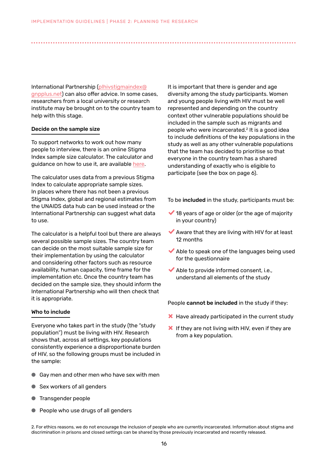International Partnership (plhivstigmaindex@ gnpplus.net) can also offer advice. In some cases, researchers from a local university or research institute may be brought on to the country team to help with this stage.

#### Decide on the sample size

To support networks to work out how many people to interview, there is an online Stigma Index sample size calculator. The calculator and guidance on how to use it, are available [here](https://hall.shinyapps.io/PLHIV_Stigma_Sample_Size_Calculator/).

The calculator uses data from a previous Stigma Index to calculate appropriate sample sizes. In places where there has not been a previous Stigma Index, global and regional estimates from the UNAIDS data hub can be used instead or the International Partnership can suggest what data to use.

The calculator is a helpful tool but there are always several possible sample sizes. The country team can decide on the most suitable sample size for their implementation by using the calculator and considering other factors such as resource availability, human capacity, time frame for the implementation etc. Once the country team has decided on the sample size, they should inform the International Partnership who will then check that it is appropriate.

#### Who to include

Everyone who takes part in the study (the "study population") must be living with HIV. Research shows that, across all settings, key populations consistently experience a disproportionate burden of HIV, so the following groups must be included in the sample:

- Gay men and other men who have sex with men
- Sex workers of all genders
- Transgender people
- People who use drugs of all genders

It is important that there is gender and age diversity among the study participants. Women and young people living with HIV must be well represented and depending on the country context other vulnerable populations should be included in the sample such as migrants and people who were incarcerated.2 It is a good idea to include definitions of the key populations in the study as well as any other vulnerable populations that the team has decided to prioritise so that everyone in the country team has a shared understanding of exactly who is eligible to participate (see the box on page 6).

To be included in the study, participants must be:

- $\blacktriangleright$  18 years of age or older (or the age of majority in your country)
- $\blacktriangleright$  Aware that they are living with HIV for at least 12 months
- $\blacktriangleright$  Able to speak one of the languages being used for the questionnaire
- $\blacktriangleright$  Able to provide informed consent, i.e., understand all elements of the study

People cannot be included in the study if they:

- **X** Have already participated in the current study
- X If they are not living with HIV, even if they are from a key population.

2. For ethics reasons, we do not encourage the inclusion of people who are currently incarcerated. Information about stigma and discrimination in prisons and closed settings can be shared by those previously incarcerated and recently released.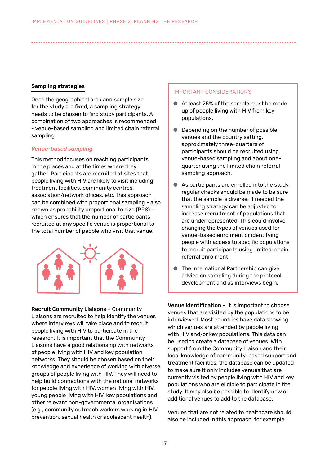#### Sampling strategies

Once the geographical area and sample size for the study are fixed, a sampling strategy needs to be chosen to find study participants. A combination of two approaches is recommended - venue-based sampling and limited chain referral sampling.

#### *Venue-based sampling*

This method focuses on reaching participants in the places and at the times where they gather. Participants are recruited at sites that people living with HIV are likely to visit including treatment facilities, community centres, association/network offices, etc. This approach can be combined with proportional sampling - also known as probability proportional to size (PPS) – which ensures that the number of participants recruited at any specific venue is proportional to the total number of people who visit that venue.



Recruit Community Liaisons – Community Liaisons are recruited to help identify the venues where interviews will take place and to recruit people living with HIV to participate in the research. It is important that the Community Liaisons have a good relationship with networks of people living with HIV and key population networks. They should be chosen based on their knowledge and experience of working with diverse groups of people living with HIV. They will need to help build connections with the national networks for people living with HIV, women living with HIV, young people living with HIV, key populations and other relevant non-governmental organisations (e.g., community outreach workers working in HIV prevention, sexual health or adolescent health).

#### IMPORTANT CONSIDERATIONS

- At least 25% of the sample must be made up of people living with HIV from key populations.
- Depending on the number of possible venues and the country setting, approximately three-quarters of participants should be recruited using venue-based sampling and about onequarter using the limited chain referral sampling approach.
- As participants are enrolled into the study, regular checks should be made to be sure that the sample is diverse. If needed the sampling strategy can be adjusted to increase recruitment of populations that are underrepresented. This could involve changing the types of venues used for venue-based enrolment or identifying people with access to specific populations to recruit participants using limited-chain referral enrolment
- The International Partnership can give advice on sampling during the protocol development and as interviews begin.

Venue identification – It is important to choose venues that are visited by the populations to be interviewed. Most countries have data showing which venues are attended by people living with HIV and/or key populations. This data can be used to create a database of venues. With support from the Community Liaison and their local knowledge of community-based support and treatment facilities, the database can be updated to make sure it only includes venues that are currently visited by people living with HIV and key populations who are eligible to participate in the study. It may also be possible to identify new or additional venues to add to the database.

Venues that are not related to healthcare should also be included in this approach, for example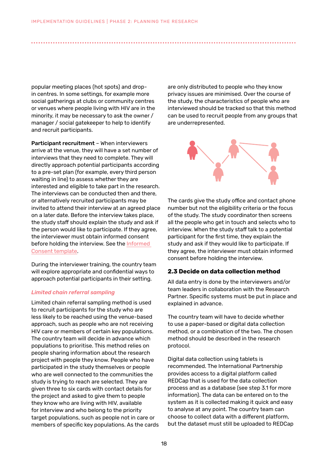<span id="page-17-0"></span>popular meeting places (hot spots) and dropin centres. In some settings, for example more social gatherings at clubs or community centres or venues where people living with HIV are in the minority, it may be necessary to ask the owner / manager / social gatekeeper to help to identify and recruit participants.

Participant recruitment – When interviewers arrive at the venue, they will have a set number of interviews that they need to complete. They will directly approach potential participants according to a pre-set plan (for example, every third person waiting in line) to assess whether they are interested and eligible to take part in the research. The interviews can be conducted then and there, or alternatively recruited participants may be invited to attend their interview at an agreed place on a later date. Before the interview takes place, the study staff should explain the study and ask if the person would like to participate. If they agree, the interviewer must obtain informed consent before holding the interview. See the [Informed](https://www.dropbox.com/s/hcxho2ug6gl6oo3/Template%20Informed%20Consent%20Form_EN.docx?dl=0)  [Consent template](https://www.dropbox.com/s/hcxho2ug6gl6oo3/Template%20Informed%20Consent%20Form_EN.docx?dl=0).

During the interviewer training, the country team will explore appropriate and confidential ways to approach potential participants in their setting.

#### *Limited chain referral sampling*

Limited chain referral sampling method is used to recruit participants for the study who are less likely to be reached using the venue-based approach, such as people who are not receiving HIV care or members of certain key populations. The country team will decide in advance which populations to prioritise. This method relies on people sharing information about the research project with people they know. People who have participated in the study themselves or people who are well connected to the communities the study is trying to reach are selected. They are given three to six cards with contact details for the project and asked to give them to people they know who are living with HIV, available for interview and who belong to the priority target populations, such as people not in care or members of specific key populations. As the cards

are only distributed to people who they know privacy issues are minimised. Over the course of the study, the characteristics of people who are interviewed should be tracked so that this method can be used to recruit people from any groups that are underrepresented.



The cards give the study office and contact phone number but not the eligibility criteria or the focus of the study. The study coordinator then screens all the people who get in touch and selects who to interview. When the study staff talk to a potential participant for the first time, they explain the study and ask if they would like to participate. If they agree, the interviewer must obtain informed consent before holding the interview.

#### **2.3 Decide on data collection method**

All data entry is done by the interviewers and/or team leaders in collaboration with the Research Partner. Specific systems must be put in place and explained in advance.

The country team will have to decide whether to use a paper-based or digital data collection method, or a combination of the two. The chosen method should be described in the research protocol.

Digital data collection using tablets is recommended. The International Partnership provides access to a digital platform called REDCap that is used for the data collection process and as a database (see step 3.1 for more information). The data can be entered on to the system as it is collected making it quick and easy to analyse at any point. The country team can choose to collect data with a different platform, but the dataset must still be uploaded to REDCap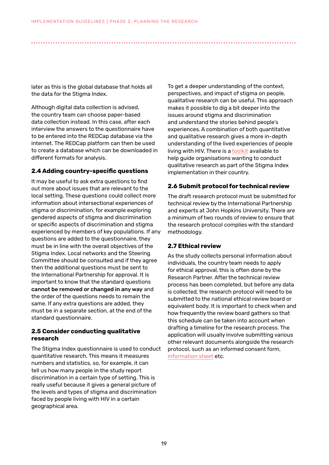<span id="page-18-0"></span>later as this is the global database that holds all the data for the Stigma Index.

Although digital data collection is advised, the country team can choose paper-based data collection instead. In this case, after each interview the answers to the questionnaire have to be entered into the REDCap database via the internet. The REDCap platform can then be used to create a database which can be downloaded in different formats for analysis.

# **2.4 Adding country-specific questions**

It may be useful to ask extra questions to find out more about issues that are relevant to the local setting. These questions could collect more information about intersectional experiences of stigma or discrimination, for example exploring gendered aspects of stigma and discrimination or specific aspects of discrimination and stigma experienced by members of key populations. If any questions are added to the questionnaire, they must be in line with the overall objectives of the Stigma Index. Local networks and the Steering Committee should be consulted and if they agree then the additional questions must be sent to the International Partnership for approval. It is important to know that the standard questions cannot be removed or changed in any way and the order of the questions needs to remain the same. If any extra questions are added, they must be in a separate section, at the end of the standard questionnaire.

## **2.5 Consider conducting qualitative research**

The Stigma Index questionnaire is used to conduct quantitative research. This means it measures numbers and statistics, so, for example, it can tell us how many people in the study report discrimination in a certain type of setting. This is really useful because it gives a general picture of the levels and types of stigma and discrimination faced by people living with HIV in a certain geographical area.

To get a deeper understanding of the context, perspectives, and impact of stigma on people, qualitative research can be useful. This approach makes it possible to dig a bit deeper into the issues around stigma and discrimination and understand the stories behind people's experiences. A combination of both quantitative and qualitative research gives a more in-depth understanding of the lived experiences of people living with HIV. There is a [toolkit](https://www.dropbox.com/s/8sgpa1yxhf1dotg/Qualitative%20Research%20Toolkit_web_EN.pdf?dl=0) available to help guide organisations wanting to conduct qualitative research as part of the Stigma Index implementation in their country.

# **2.6 Submit protocol for technical review**

The draft research protocol must be submitted for technical review by the International Partnership and experts at John Hopkins University. There are a minimum of two rounds of review to ensure that the research protocol complies with the standard methodology.

# **2.7 Ethical review**

As the study collects personal information about individuals, the country team needs to apply for ethical approval, this is often done by the Research Partner. After the technical review process has been completed, but before any data is collected, the research protocol will need to be submitted to the national ethical review board or equivalent body. It is important to check when and how frequently the review board gathers so that this schedule can be taken into account when drafting a timeline for the research process. The application will usually involve submitting various other relevant documents alongside the research protocol, such as an informed consent form, [information sheet](https://www.dropbox.com/s/3qtr0d8r92g2uhh/Template%20Information%20Sheet_EN.docx?dl=0) etc.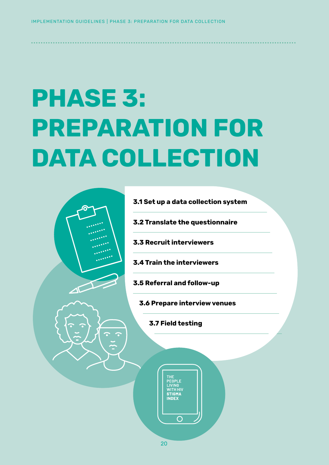# **PHASE 3: PREPARATION FOR DATA COLLECTION**

<span id="page-19-0"></span>● ● ● ● ● ● ● ● ● ● ● ● ● ● ● ● ● ● ● ● ● ● ● ● ● ● ● ● ● ● ● ● ● ● ● ● ● ● ● ● ● ● ● ● ● ● ● ● ● ● ● ● ● ● ● ● ● ● ● ● ● ● ● ● ● ● ● ● ● ● ● ● ● ● ● ● ● ● ● ● ● ● ● ● ● ● ● ● ● ● ● ● ● ● ● ● ● ● ● ● ● ● ● ● ● ● ● ● ●



**3.1 Set up a data collection system**

**3.2 Translate the questionnaire**

**3.3 Recruit interviewers**

**3.4 Train the interviewers** 

**3.5 Referral and follow-up**

**3.6 Prepare interview venues**

**3.7 Field testing**

THE

VITH HI' **STIGM** 

 $\bigcap$ 

20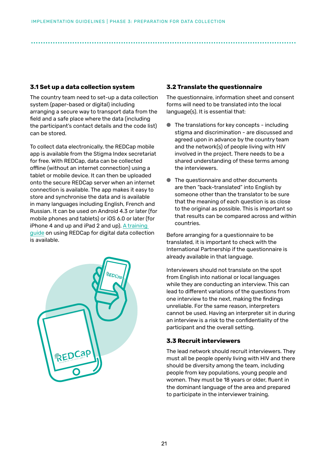# <span id="page-20-0"></span>**3.1 Set up a data collection system**

The country team need to set-up a data collection system (paper-based or digital) including arranging a secure way to transport data from the field and a safe place where the data (including the participant's contact details and the code list) can be stored.

To collect data electronically, the REDCap mobile app is available from the Stigma Index secretariat for free. With REDCap, data can be collected offline (without an internet connection) using a tablet or mobile device. It can then be uploaded onto the secure REDCap server when an internet connection is available. The app makes it easy to store and synchronise the data and is available in many languages including English, French and Russian. It can be used on Android 4.3 or later (for mobile phones and tablets) or iOS 6.0 or later (for iPhone 4 and up and iPad 2 and up). A training [guide](https://www.dropbox.com/s/j1iluf9sgjladm0/REDCap%20Training_EN.pptx?dl=0) on using REDCap for digital data collection is available.



# **3.2 Translate the questionnaire**

The questionnaire, information sheet and consent forms will need to be translated into the local language(s). It is essential that:

- The translations for key concepts including stigma and discrimination - are discussed and agreed upon in advance by the country team and the network(s) of people living with HIV involved in the project. There needs to be a shared understanding of these terms among the interviewers.
- The questionnaire and other documents are then "back-translated" into English by someone other than the translator to be sure that the meaning of each question is as close to the original as possible. This is important so that results can be compared across and within countries.

Before arranging for a questionnaire to be translated, it is important to check with the International Partnership if the questionnaire is already available in that language.

Interviewers should not translate on the spot from English into national or local languages while they are conducting an interview. This can lead to different variations of the questions from one interview to the next, making the findings unreliable. For the same reason, interpreters cannot be used. Having an interpreter sit in during an interview is a risk to the confidentiality of the participant and the overall setting.

# **3.3 Recruit interviewers**

The lead network should recruit interviewers. They must all be people openly living with HIV and there should be diversity among the team, including people from key populations, young people and women. They must be 18 years or older, fluent in the dominant language of the area and prepared to participate in the interviewer training.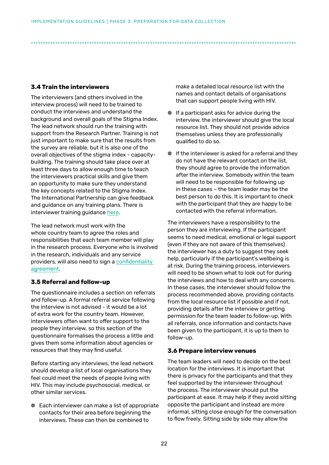# <span id="page-21-0"></span>**3.4 Train the interviewers**

The interviewers (and others involved in the interview process) will need to be trained to conduct the interviews and understand the background and overall goals of the Stigma Index. The lead network should run the training with support from the Research Partner. Training is not just important to make sure that the results from the survey are reliable, but it is also one of the overall objectives of the stigma index - capacitybuilding. The training should take place over at least three days to allow enough time to teach the interviewers practical skills and give them an opportunity to make sure they understand the key concepts related to the Stigma Index. The International Partnership can give feedback and guidance on any training plans. There is interviewer training guidance [here.](https://www.dropbox.com/s/08wnzor75gkjoh4/Interviewer%20Training%20Guidelines_EN.docx?dl=0)

The lead network must work with the whole country team to agree the roles and responsibilities that each team member will play in the research process. Everyone who is involved in the research, individuals and any service providers, will also need to sign a [confidentiality](https://www.dropbox.com/s/tw42wyff4qb61ft/Template%20Confidentiality%20Agreement_EN.docx?dl=0)  [agreement.](https://www.dropbox.com/s/tw42wyff4qb61ft/Template%20Confidentiality%20Agreement_EN.docx?dl=0)

# **3.5 Referral and follow-up**

The questionnaire includes a section on referrals and follow-up. A formal referral service following the interview is not advised - it would be a lot of extra work for the country team. However, interviewers often want to offer support to the people they interview, so this section of the questionnaire formalises the process a little and gives them some information about agencies or resources that they may find useful.

Before starting any interviews, the lead network should develop a list of local organisations they feel could meet the needs of people living with HIV. This may include psychosocial, medical, or other similar services.

● Each interviewer can make a list of appropriate contacts for their area before beginning the interviews. These can then be combined to

make a detailed local resource list with the names and contact details of organisations that can support people living with HIV.

- If a participant asks for advice during the interview, the interviewer should give the local resource list. They should not provide advice themselves unless they are professionally qualified to do so.
- If the interviewer is asked for a referral and they do not have the relevant contact on the list, they should agree to provide the information after the interview. Somebody within the team will need to be responsible for following up in these cases – the team leader may be the best person to do this. It is important to check with the participant that they are happy to be contacted with the referral information.

The interviewers have a responsibility to the person they are interviewing. If the participant seems to need medical, emotional or legal support (even if they are not aware of this themselves) the interviewer has a duty to suggest they seek help, particularly if the participant's wellbeing is at risk. During the training process, interviewers will need to be shown what to look out for during the interviews and how to deal with any concerns. In these cases, the interviewer should follow the process recommended above, providing contacts from the local resource list if possible and if not, providing details after the interview or getting permission for the team leader to follow-up. With all referrals, once information and contacts have been given to the participant, it is up to them to follow-up.

# **3.6 Prepare interview venues**

The team leaders will need to decide on the best location for the interviews. It is important that there is privacy for the participants and that they feel supported by the interviewer throughout the process. The interviewer should put the participant at ease. It may help if they avoid sitting opposite the participant and instead are more informal, sitting close enough for the conversation to flow freely. Sitting side by side may allow the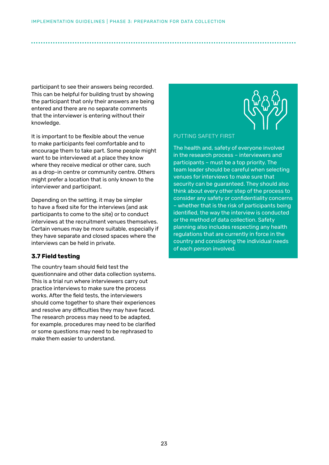<span id="page-22-0"></span>participant to see their answers being recorded. This can be helpful for building trust by showing the participant that only their answers are being entered and there are no separate comments that the interviewer is entering without their knowledge.

It is important to be flexible about the venue to make participants feel comfortable and to encourage them to take part. Some people might want to be interviewed at a place they know where they receive medical or other care, such as a drop-in centre or community centre. Others might prefer a location that is only known to the interviewer and participant.

Depending on the setting, it may be simpler to have a fixed site for the interviews (and ask participants to come to the site) or to conduct interviews at the recruitment venues themselves. Certain venues may be more suitable, especially if they have separate and closed spaces where the interviews can be held in private.

# **3.7 Field testing**

The country team should field test the questionnaire and other data collection systems. This is a trial run where interviewers carry out practice interviews to make sure the process works. After the field tests, the interviewers should come together to share their experiences and resolve any difficulties they may have faced. The research process may need to be adapted, for example, procedures may need to be clarified or some questions may need to be rephrased to make them easier to understand.



PUTTING SAFETY FIRST

The health and, safety of everyone involved in the research process – interviewers and participants – must be a top priority. The team leader should be careful when selecting venues for interviews to make sure that security can be guaranteed. They should also think about every other step of the process to consider any safety or confidentiality concerns – whether that is the risk of participants being identified, the way the interview is conducted or the method of data collection. Safety planning also includes respecting any health regulations that are currently in force in the country and considering the individual needs of each person involved.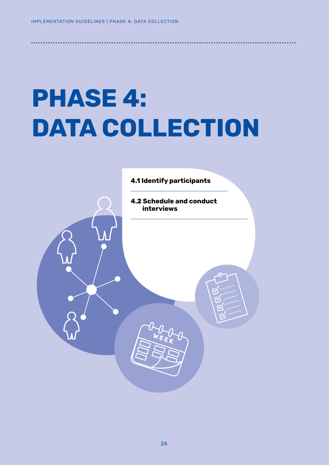# **PHASE 4: DATA COLLECTION**

<span id="page-23-0"></span>● ● ● ● ● ● ● ● ● ● ● ● ● ● ● ● ● ● ● ● ● ● ● ● ● ● ● ● ● ● ● ● ● ● ● ● ● ● ● ● ● ● ● ● ● ● ● ● ● ● ● ● ● ● ● ● ● ● ● ● ● ● ● ● ● ● ● ● ● ● ● ● ● ● ● ● ● ● ● ● ● ● ● ● ● ● ● ● ● ● ● ● ● ● ● ● ● ● ● ● ● ● ● ● ● ● ● ● ●

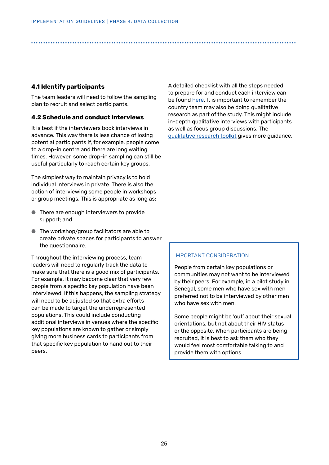# <span id="page-24-0"></span>**4.1 Identify participants**

The team leaders will need to follow the sampling plan to recruit and select participants.

# **4.2 Schedule and conduct interviews**

It is best if the interviewers book interviews in advance. This way there is less chance of losing potential participants if, for example, people come to a drop-in centre and there are long waiting times. However, some drop-in sampling can still be useful particularly to reach certain key groups.

The simplest way to maintain privacy is to hold individual interviews in private. There is also the option of interviewing some people in workshops or group meetings. This is appropriate as long as:

- There are enough interviewers to provide support; and
- The workshop/group facilitators are able to create private spaces for participants to answer the questionnaire.

Throughout the interviewing process, team leaders will need to regularly track the data to make sure that there is a good mix of participants. For example, it may become clear that very few people from a specific key population have been interviewed. If this happens, the sampling strategy will need to be adjusted so that extra efforts can be made to target the underrepresented populations. This could include conducting additional interviews in venues where the specific key populations are known to gather or simply giving more business cards to participants from that specific key population to hand out to their peers.

A detailed checklist with all the steps needed to prepare for and conduct each interview can be found [here.](https://www.dropbox.com/s/lqri0x786fsrgmc/Interview%20Checklist_EN.docx?dl=0) It is important to remember the country team may also be doing qualitative research as part of the study. This might include in-depth qualitative interviews with participants as well as focus group discussions. The [qualitative research toolkit](https://www.dropbox.com/s/8sgpa1yxhf1dotg/Qualitative%20Research%20Toolkit_web_EN.pdf?dl=0) gives more guidance.

#### IMPORTANT CONSIDERATION

People from certain key populations or communities may not want to be interviewed by their peers. For example, in a pilot study in Senegal, some men who have sex with men preferred not to be interviewed by other men who have sex with men.

Some people might be 'out' about their sexual orientations, but not about their HIV status or the opposite. When participants are being recruited, it is best to ask them who they would feel most comfortable talking to and provide them with options.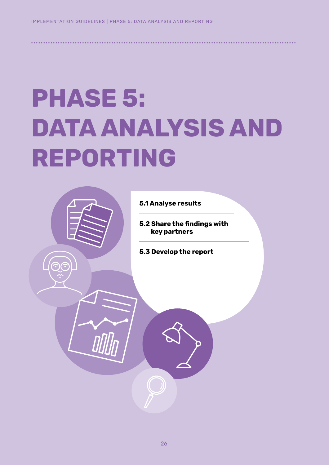# **PHASE 5: DATA ANALYSIS AND REPORTING**

<span id="page-25-0"></span>● ● ● ● ● ● ● ● ● ● ● ● ● ● ● ● ● ● ● ● ● ● ● ● ● ● ● ● ● ● ● ● ● ● ● ● ● ● ● ● ● ● ● ● ● ● ● ● ● ● ● ● ● ● ● ● ● ● ● ● ● ● ● ● ● ● ● ● ● ● ● ● ● ● ● ● ● ● ● ● ● ● ● ● ● ● ● ● ● ● ● ● ● ● ● ● ● ● ● ● ● ● ● ● ● ● ● ● ●



**5.2 Share the findings with key partners**

**5.3 Develop the report**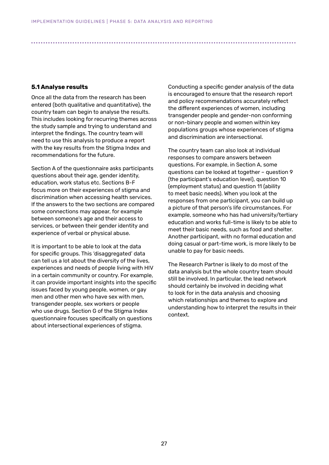### <span id="page-26-0"></span>**5.1 Analyse results**

Once all the data from the research has been entered (both qualitative and quantitative), the country team can begin to analyse the results. This includes looking for recurring themes across the study sample and trying to understand and interpret the findings. The country team will need to use this analysis to produce a report with the key results from the Stigma Index and recommendations for the future.

Section A of the questionnaire asks participants questions about their age, gender identity, education, work status etc. Sections B-F focus more on their experiences of stigma and discrimination when accessing health services. If the answers to the two sections are compared some connections may appear, for example between someone's age and their access to services, or between their gender identity and experience of verbal or physical abuse.

It is important to be able to look at the data for specific groups. This 'disaggregated' data can tell us a lot about the diversity of the lives, experiences and needs of people living with HIV in a certain community or country. For example, it can provide important insights into the specific issues faced by young people, women, or gay men and other men who have sex with men, transgender people, sex workers or people who use drugs. Section G of the Stigma Index questionnaire focuses specifically on questions about intersectional experiences of stigma.

Conducting a specific gender analysis of the data is encouraged to ensure that the research report and policy recommendations accurately reflect the different experiences of women, including transgender people and gender-non conforming or non-binary people and women within key populations groups whose experiences of stigma and discrimination are intersectional.

The country team can also look at individual responses to compare answers between questions. For example, in Section A, some questions can be looked at together – question 9 (the participant's education level), question 10 (employment status) and question 11 (ability to meet basic needs). When you look at the responses from one participant, you can build up a picture of that person's life circumstances. For example, someone who has had university/tertiary education and works full-time is likely to be able to meet their basic needs, such as food and shelter. Another participant, with no formal education and doing casual or part-time work, is more likely to be unable to pay for basic needs.

The Research Partner is likely to do most of the data analysis but the whole country team should still be involved. In particular, the lead network should certainly be involved in deciding what to look for in the data analysis and choosing which relationships and themes to explore and understanding how to interpret the results in their context.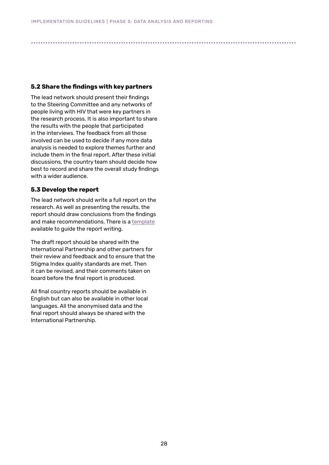# <span id="page-27-0"></span>**5.2 Share the findings with key partners**

The lead network should present their findings to the Steering Committee and any networks of people living with HIV that were key partners in the research process. It is also important to share the results with the people that participated in the interviews. The feedback from all those involved can be used to decide if any more data analysis is needed to explore themes further and include them in the final report. After these initial discussions, the country team should decide how best to record and share the overall study findings with a wider audience.

## **5.3 Develop the report**

The lead network should write a full report on the research. As well as presenting the results, the report should draw conclusions from the findings and make recommendations. There is a [template](https://www.dropbox.com/s/fo70djzkxihtxt2/Final%20Report%20Template_EN.docx?dl=0) available to guide the report writing.

The draft report should be shared with the International Partnership and other partners for their review and feedback and to ensure that the Stigma Index quality standards are met. Then it can be revised, and their comments taken on board before the final report is produced.

All final country reports should be available in English but can also be available in other local languages. All the anonymised data and the final report should always be shared with the International Partnership.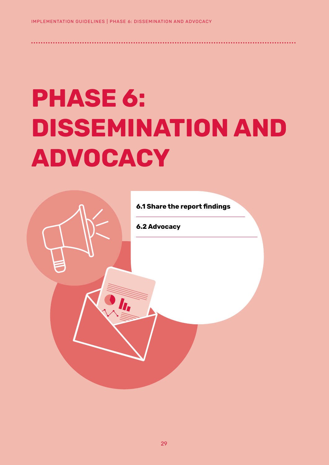# **PHASE 6: DISSEMINATION AND ADVOCACY**

<span id="page-28-0"></span>● ● ● ● ● ● ● ● ● ● ● ● ● ● ● ● ● ● ● ● ● ● ● ● ● ● ● ● ● ● ● ● ● ● ● ● ● ● ● ● ● ● ● ● ● ● ● ● ● ● ● ● ● ● ● ● ● ● ● ● ● ● ● ● ● ● ● ● ● ● ● ● ● ● ● ● ● ● ● ● ● ● ● ● ● ● ● ● ● ● ● ● ● ● ● ● ● ● ● ● ● ● ● ● ● ● ● ● ●

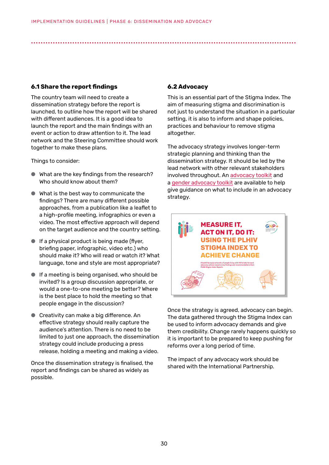# **6.1 Share the report findings**

The country team will need to create a dissemination strategy before the report is launched, to outline how the report will be shared with different audiences. It is a good idea to launch the report and the main findings with an event or action to draw attention to it. The lead network and the Steering Committee should work together to make these plans.

Things to consider:

- What are the key findings from the research? Who should know about them?
- What is the best way to communicate the findings? There are many different possible approaches, from a publication like a leaflet to a high-profile meeting, infographics or even a video. The most effective approach will depend on the target audience and the country setting.
- If a physical product is being made (flyer, briefing paper, infographic, video etc.) who should make it? Who will read or watch it? What language, tone and style are most appropriate?
- If a meeting is being organised, who should be invited? Is a group discussion appropriate, or would a one-to-one meeting be better? Where is the best place to hold the meeting so that people engage in the discussion?
- Creativity can make a big difference. An effective strategy should really capture the audience's attention. There is no need to be limited to just one approach, the dissemination strategy could include producing a press release, holding a meeting and making a video.

Once the dissemination strategy is finalised, the report and findings can be shared as widely as possible.

# **6.2 Advocacy**

<span id="page-29-0"></span>● ● ● ● ● ● ● ● ● ● ● ● ● ● ● ● ● ● ● ● ● ● ● ● ● ● ● ● ● ● ● ● ● ● ● ● ● ● ● ● ● ● ● ● ● ● ● ● ● ● ● ● ● ● ● ● ● ● ● ● ● ● ● ● ● ● ● ● ● ● ● ● ● ● ● ● ● ● ● ● ● ● ● ● ● ● ● ● ● ● ● ● ● ● ● ● ● ● ● ● ● ● ● ● ● ● ● ● ●

This is an essential part of the Stigma Index. The aim of measuring stigma and discrimination is not just to understand the situation in a particular setting, it is also to inform and shape policies, practices and behaviour to remove stigma altogether.

The advocacy strategy involves longer-term strategic planning and thinking than the dissemination strategy. It should be led by the lead network with other relevant stakeholders involved throughout. An [advocacy toolkit](https://gnpplus.net/resource/plhiv-stigma-index-advocacy-toolkit/) and a gender advocacy toolkit are available to help give guidance on what to include in an advocacy strategy.



Once the strategy is agreed, advocacy can begin. The data gathered through the Stigma Index can be used to inform advocacy demands and give them credibility. Change rarely happens quickly so it is important to be prepared to keep pushing for reforms over a long period of time.

The impact of any advocacy work should be shared with the International Partnership.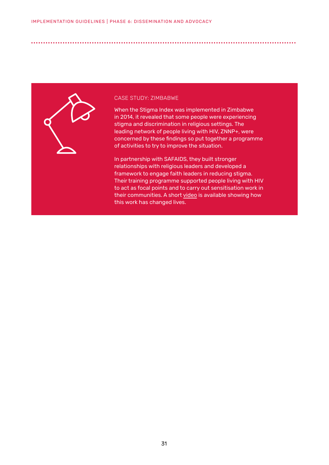

#### CASE STUDY: ZIMBABWE

● ● ● ● ● ● ● ● ● ● ● ● ● ● ● ● ● ● ● ● ● ● ● ● ● ● ● ● ● ● ● ● ● ● ● ● ● ● ● ● ● ● ● ● ● ● ● ● ● ● ● ● ● ● ● ● ● ● ● ● ● ● ● ● ● ● ● ● ● ● ● ● ● ● ● ● ● ● ● ● ● ● ● ● ● ● ● ● ● ● ● ● ● ● ● ● ● ● ● ● ● ● ● ● ● ● ● ● ●

When the Stigma Index was implemented in Zimbabwe in 2014, it revealed that some people were experiencing stigma and discrimination in religious settings. The leading network of people living with HIV, ZNNP+, were concerned by these findings so put together a programme of activities to try to improve the situation.

In partnership with SAFAIDS, they built stronger relationships with religious leaders and developed a framework to engage faith leaders in reducing stigma. Their training programme supported people living with HIV to act as focal points and to carry out sensitisation work in their communities. A short [video](https://www.stigmaindex.org/news/human-rights-day-2020-using-evidence-from-the-plhiv-stigma-index-for-a-rights-based-approach-in-the-aids-response/) is available showing how this work has changed lives.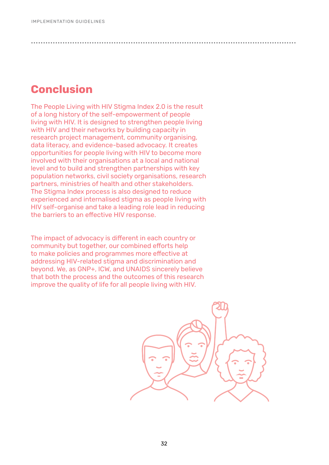# **Conclusion**

The People Living with HIV Stigma Index 2.0 is the result of a long history of the self-empowerment of people living with HIV. It is designed to strengthen people living with HIV and their networks by building capacity in research project management, community organising, data literacy, and evidence-based advocacy. It creates opportunities for people living with HIV to become more involved with their organisations at a local and national level and to build and strengthen partnerships with key population networks, civil society organisations, research partners, ministries of health and other stakeholders. The Stigma Index process is also designed to reduce experienced and internalised stigma as people living with HIV self-organise and take a leading role lead in reducing the barriers to an effective HIV response.

<span id="page-31-0"></span>● ● ● ● ● ● ● ● ● ● ● ● ● ● ● ● ● ● ● ● ● ● ● ● ● ● ● ● ● ● ● ● ● ● ● ● ● ● ● ● ● ● ● ● ● ● ● ● ● ● ● ● ● ● ● ● ● ● ● ● ● ● ● ● ● ● ● ● ● ● ● ● ● ● ● ● ● ● ● ● ● ● ● ● ● ● ● ● ● ● ● ● ● ● ● ● ● ● ● ● ● ● ● ● ● ● ● ● ●

The impact of advocacy is different in each country or community but together, our combined efforts help to make policies and programmes more effective at addressing HIV-related stigma and discrimination and beyond. We, as GNP+, ICW, and UNAIDS sincerely believe that both the process and the outcomes of this research improve the quality of life for all people living with HIV.

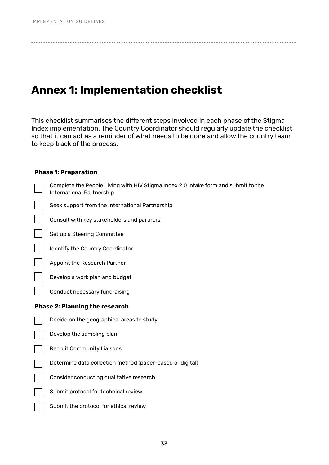# <span id="page-32-0"></span>**Annex 1: Implementation checklist**

This checklist summarises the different steps involved in each phase of the Stigma Index implementation. The Country Coordinator should regularly update the checklist so that it can act as a reminder of what needs to be done and allow the country team to keep track of the process.

## **Phase 1: Preparation**

| Complete the People Living with HIV Stigma Index 2.0 intake form and submit to the<br>International Partnership |
|-----------------------------------------------------------------------------------------------------------------|
| Seek support from the International Partnership                                                                 |
| Consult with key stakeholders and partners                                                                      |
| Set up a Steering Committee                                                                                     |
| Identify the Country Coordinator                                                                                |
| Appoint the Research Partner                                                                                    |
| Develop a work plan and budget                                                                                  |
| Conduct necessary fundraising                                                                                   |
|                                                                                                                 |
| <b>Phase 2: Planning the research</b>                                                                           |
| Decide on the geographical areas to study                                                                       |
| Develop the sampling plan                                                                                       |
| <b>Recruit Community Liaisons</b>                                                                               |
| Determine data collection method (paper-based or digital)                                                       |
| Consider conducting qualitative research                                                                        |
| Submit protocol for technical review                                                                            |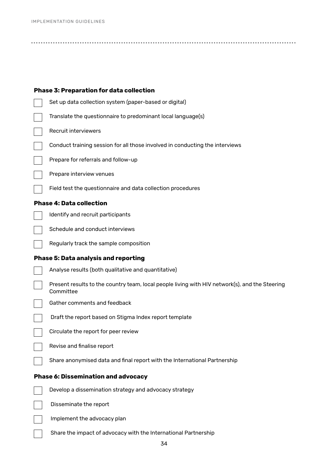| <b>Phase 3: Preparation for data collection</b>                                                             |
|-------------------------------------------------------------------------------------------------------------|
| Set up data collection system (paper-based or digital)                                                      |
| Translate the questionnaire to predominant local language(s)                                                |
| Recruit interviewers                                                                                        |
| Conduct training session for all those involved in conducting the interviews                                |
| Prepare for referrals and follow-up                                                                         |
| Prepare interview venues                                                                                    |
| Field test the questionnaire and data collection procedures                                                 |
| <b>Phase 4: Data collection</b>                                                                             |
| Identify and recruit participants                                                                           |
| Schedule and conduct interviews                                                                             |
| Regularly track the sample composition                                                                      |
| <b>Phase 5: Data analysis and reporting</b>                                                                 |
| Analyse results (both qualitative and quantitative)                                                         |
| Present results to the country team, local people living with HIV network(s), and the Steering<br>Committee |
| Gather comments and feedback                                                                                |
| Draft the report based on Stigma Index report template                                                      |
| Circulate the report for peer review                                                                        |
| Revise and finalise report                                                                                  |
| Share anonymised data and final report with the International Partnership                                   |
| <b>Phase 6: Dissemination and advocacy</b>                                                                  |
| Develop a dissemination strategy and advocacy strategy                                                      |
| Disseminate the report                                                                                      |
| Implement the advocacy plan                                                                                 |
| Share the impact of advocacy with the International Partnership                                             |